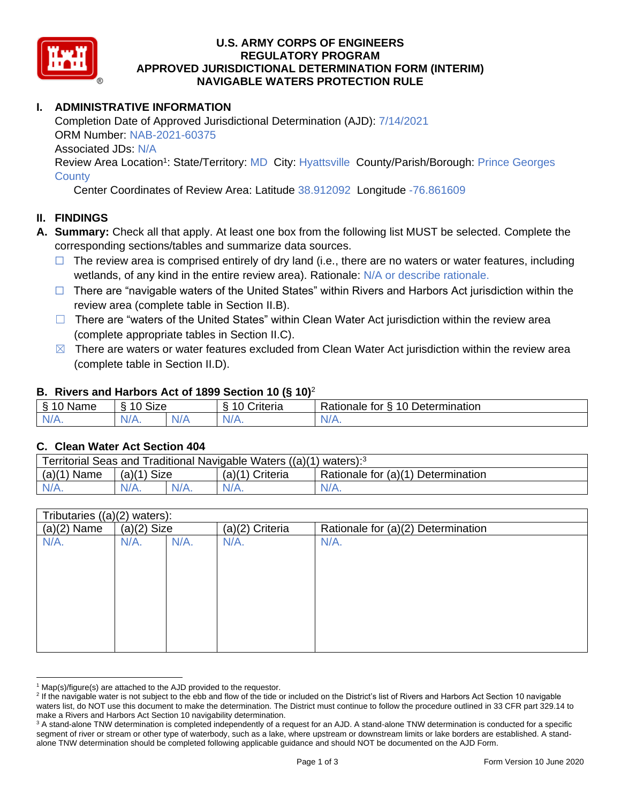

### **U.S. ARMY CORPS OF ENGINEERS REGULATORY PROGRAM APPROVED JURISDICTIONAL DETERMINATION FORM (INTERIM) NAVIGABLE WATERS PROTECTION RULE**

# **I. ADMINISTRATIVE INFORMATION**

Completion Date of Approved Jurisdictional Determination (AJD): 7/14/2021 ORM Number: NAB-2021-60375 Associated JDs: N/A Review Area Location<sup>1</sup>: State/Territory: MD City: Hyattsville County/Parish/Borough: Prince Georges

**County** 

Center Coordinates of Review Area: Latitude 38.912092 Longitude -76.861609

### **II. FINDINGS**

- **A. Summary:** Check all that apply. At least one box from the following list MUST be selected. Complete the corresponding sections/tables and summarize data sources.
	- $\Box$  The review area is comprised entirely of dry land (i.e., there are no waters or water features, including wetlands, of any kind in the entire review area). Rationale: N/A or describe rationale.
	- $\Box$  There are "navigable waters of the United States" within Rivers and Harbors Act jurisdiction within the review area (complete table in Section II.B).
	- $\Box$  There are "waters of the United States" within Clean Water Act jurisdiction within the review area (complete appropriate tables in Section II.C).
	- $\boxtimes$  There are waters or water features excluded from Clean Water Act jurisdiction within the review area (complete table in Section II.D).

#### **B. Rivers and Harbors Act of 1899 Section 10 (§ 10)**<sup>2</sup>

| Name             | $\sim$<br>$\overline{A}$<br>Size |          | $\cdot$<br>Criteria | 10 Determination<br>Rationale.<br>tor<br>∼ |
|------------------|----------------------------------|----------|---------------------|--------------------------------------------|
| NI/<br>$-1$ $-1$ | N/A.                             | ND.<br>. | N/f                 | N/A.                                       |

#### **C. Clean Water Act Section 404**

| Territorial Seas and Traditional Navigable Waters ((a)(1) waters): <sup>3</sup> |               |      |                   |                                    |  |
|---------------------------------------------------------------------------------|---------------|------|-------------------|------------------------------------|--|
| (a)(1)<br>Name                                                                  | $(a)(1)$ Size |      | $(a)(1)$ Criteria | Rationale for (a)(1) Determination |  |
| $N/A$ .                                                                         | $N/A$ .       | N/A. | $N/A$ .           | $N/A$ .                            |  |

| Tributaries $((a)(2)$ waters): |               |         |                 |                                    |  |
|--------------------------------|---------------|---------|-----------------|------------------------------------|--|
| $(a)(2)$ Name                  | $(a)(2)$ Size |         | (a)(2) Criteria | Rationale for (a)(2) Determination |  |
| N/A.                           | $N/A$ .       | $N/A$ . | N/A.            | $N/A$ .                            |  |
|                                |               |         |                 |                                    |  |
|                                |               |         |                 |                                    |  |
|                                |               |         |                 |                                    |  |
|                                |               |         |                 |                                    |  |
|                                |               |         |                 |                                    |  |
|                                |               |         |                 |                                    |  |
|                                |               |         |                 |                                    |  |
|                                |               |         |                 |                                    |  |
|                                |               |         |                 |                                    |  |

 $1$  Map(s)/figure(s) are attached to the AJD provided to the requestor.

<sup>&</sup>lt;sup>2</sup> If the navigable water is not subject to the ebb and flow of the tide or included on the District's list of Rivers and Harbors Act Section 10 navigable waters list, do NOT use this document to make the determination. The District must continue to follow the procedure outlined in 33 CFR part 329.14 to make a Rivers and Harbors Act Section 10 navigability determination.

<sup>&</sup>lt;sup>3</sup> A stand-alone TNW determination is completed independently of a request for an AJD. A stand-alone TNW determination is conducted for a specific segment of river or stream or other type of waterbody, such as a lake, where upstream or downstream limits or lake borders are established. A standalone TNW determination should be completed following applicable guidance and should NOT be documented on the AJD Form.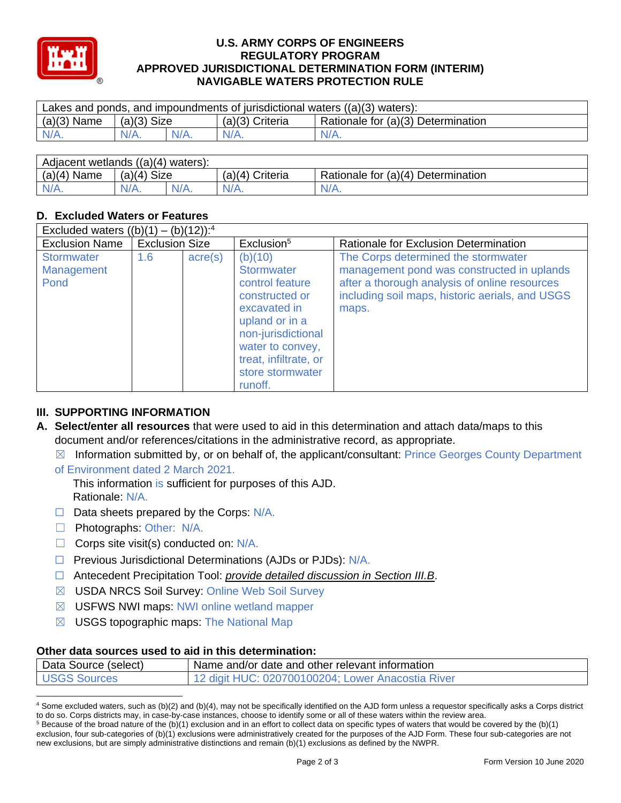

### **U.S. ARMY CORPS OF ENGINEERS REGULATORY PROGRAM APPROVED JURISDICTIONAL DETERMINATION FORM (INTERIM) NAVIGABLE WATERS PROTECTION RULE**

| Lakes and ponds, and impoundments of jurisdictional waters $((a)(3)$ waters): |               |         |                   |                                    |  |
|-------------------------------------------------------------------------------|---------------|---------|-------------------|------------------------------------|--|
| $(a)(3)$ Name                                                                 | $(a)(3)$ Size |         | $(a)(3)$ Criteria | Rationale for (a)(3) Determination |  |
| $N/A$ .                                                                       | $N/A$ .       | $N/A$ . | $N/A$ .           | $N/A$ .                            |  |
|                                                                               |               |         |                   |                                    |  |

| Adjacent wetlands ((a)(4) waters): |               |  |                   |                                    |  |
|------------------------------------|---------------|--|-------------------|------------------------------------|--|
| $(a)(4)$ Name                      | $(a)(4)$ Size |  | $(a)(4)$ Criteria | Rationale for (a)(4) Determination |  |
| $N/A$ .                            | $N/A$ .       |  |                   | $N/A$ .                            |  |

# **D. Excluded Waters or Features**

| Excluded waters $((b)(1) - (b)(12))$ : <sup>4</sup> |                       |                  |                                                                                                                                                                                                       |                                                                                                                                                                                                |  |
|-----------------------------------------------------|-----------------------|------------------|-------------------------------------------------------------------------------------------------------------------------------------------------------------------------------------------------------|------------------------------------------------------------------------------------------------------------------------------------------------------------------------------------------------|--|
| <b>Exclusion Name</b>                               | <b>Exclusion Size</b> |                  | Exclusion <sup>5</sup>                                                                                                                                                                                | Rationale for Exclusion Determination                                                                                                                                                          |  |
| <b>Stormwater</b><br>Management<br>Pond             | 1.6                   | $\text{acre}(s)$ | (b)(10)<br><b>Stormwater</b><br>control feature<br>constructed or<br>excavated in<br>upland or in a<br>non-jurisdictional<br>water to convey,<br>treat, infiltrate, or<br>store stormwater<br>runoff. | The Corps determined the stormwater<br>management pond was constructed in uplands<br>after a thorough analysis of online resources<br>including soil maps, historic aerials, and USGS<br>maps. |  |

## **III. SUPPORTING INFORMATION**

- **A. Select/enter all resources** that were used to aid in this determination and attach data/maps to this document and/or references/citations in the administrative record, as appropriate.
	- $\boxtimes$  Information submitted by, or on behalf of, the applicant/consultant: Prince Georges County Department
	- of Environment dated 2 March 2021.

This information is sufficient for purposes of this AJD. Rationale: N/A.

- ☐ Data sheets prepared by the Corps: N/A.
- □ Photographs: Other: N/A.
- $\Box$  Corps site visit(s) conducted on: N/A.
- ☐ Previous Jurisdictional Determinations (AJDs or PJDs): N/A.
- ☐ Antecedent Precipitation Tool: *provide detailed discussion in Section III.B*.
- ☒ USDA NRCS Soil Survey: Online Web Soil Survey
- ☒ USFWS NWI maps: NWI online wetland mapper
- $\boxtimes$  USGS topographic maps: The National Map

#### **Other data sources used to aid in this determination:**

| Data Source (select) | Name and/or date and other relevant information   |
|----------------------|---------------------------------------------------|
| <b>USGS Sources</b>  | 12 digit HUC: 020700100204; Lower Anacostia River |

<sup>4</sup> Some excluded waters, such as (b)(2) and (b)(4), may not be specifically identified on the AJD form unless a requestor specifically asks a Corps district to do so. Corps districts may, in case-by-case instances, choose to identify some or all of these waters within the review area.

 $5$  Because of the broad nature of the (b)(1) exclusion and in an effort to collect data on specific types of waters that would be covered by the (b)(1) exclusion, four sub-categories of (b)(1) exclusions were administratively created for the purposes of the AJD Form. These four sub-categories are not new exclusions, but are simply administrative distinctions and remain (b)(1) exclusions as defined by the NWPR.